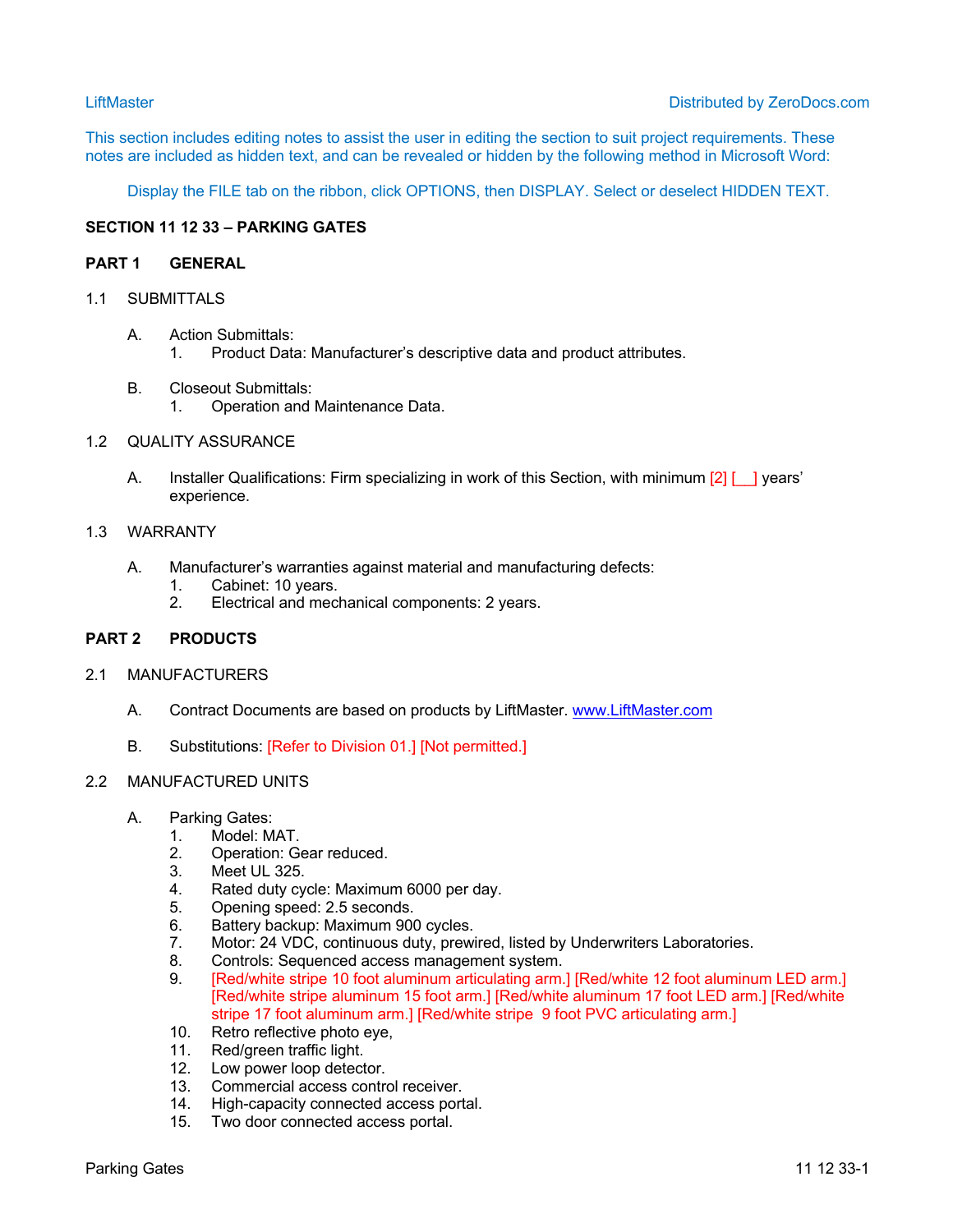This section includes editing notes to assist the user in editing the section to suit project requirements. These notes are included as hidden text, and can be revealed or hidden by the following method in Microsoft Word:

Display the FILE tab on the ribbon, click OPTIONS, then DISPLAY. Select or deselect HIDDEN TEXT.

# **SECTION 11 12 33 – PARKING GATES**

## **PART 1 GENERAL**

## 1.1 SUBMITTALS

- A. Action Submittals: 1. Product Data: Manufacturer's descriptive data and product attributes.
- B. Closeout Submittals: 1. Operation and Maintenance Data.

## 1.2 QUALITY ASSURANCE

A. Installer Qualifications: Firm specializing in work of this Section, with minimum [2] [ ] years' experience.

#### 1.3 WARRANTY

- A. Manufacturer's warranties against material and manufacturing defects:
	- 1. Cabinet: 10 years.
	- 2. Electrical and mechanical components: 2 years.

## **PART 2 PRODUCTS**

### 2.1 MANUFACTURERS

- A. Contract Documents are based on products by LiftMaster. www.LiftMaster.com
- B. Substitutions: [Refer to Division 01.] [Not permitted.]

#### 2.2 MANUFACTURED UNITS

- A. Parking Gates:
	- 1. Model: MAT.
	- 2. Operation: Gear reduced.
	- 3. Meet UL 325.<br>4. Rated duty cy
	- 4. Rated duty cycle: Maximum 6000 per day.<br>5. Opening speed: 2.5 seconds.
	- Opening speed: 2.5 seconds.
	- 6. Battery backup: Maximum 900 cycles.<br>7. Motor: 24 VDC, continuous duty, prewi
	- Motor: 24 VDC, continuous duty, prewired, listed by Underwriters Laboratories.
	- 8. Controls: Sequenced access management system.
	- 9. [Red/white stripe 10 foot aluminum articulating arm.] [Red/white 12 foot aluminum LED arm.] [Red/white stripe aluminum 15 foot arm.] [Red/white aluminum 17 foot LED arm.] [Red/white stripe 17 foot aluminum arm.] [Red/white stripe 9 foot PVC articulating arm.]
	- 10. Retro reflective photo eye,
	- 11. Red/green traffic light.
	- 12. Low power loop detector.
	- 13. Commercial access control receiver.
	- 14. High-capacity connected access portal.
	- 15. Two door connected access portal.